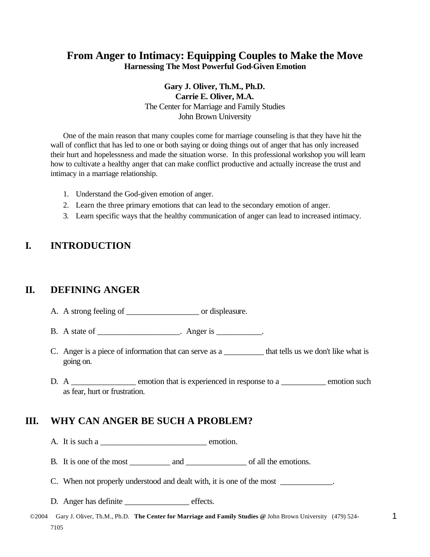## **From Anger to Intimacy: Equipping Couples to Make the Move Harnessing The Most Powerful God-Given Emotion**

### **Gary J. Oliver, Th.M., Ph.D. Carrie E. Oliver, M.A.** The Center for Marriage and Family Studies John Brown University

One of the main reason that many couples come for marriage counseling is that they have hit the wall of conflict that has led to one or both saying or doing things out of anger that has only increased their hurt and hopelessness and made the situation worse. In this professional workshop you will learn how to cultivate a healthy anger that can make conflict productive and actually increase the trust and intimacy in a marriage relationship.

- 1. Understand the God-given emotion of anger.
- 2. Learn the three primary emotions that can lead to the secondary emotion of anger.
- 3. Learn specific ways that the healthy communication of anger can lead to increased intimacy.

## **I. INTRODUCTION**

## **II. DEFINING ANGER**

- A. A strong feeling of \_\_\_\_\_\_\_\_\_\_\_\_\_\_\_\_\_\_\_\_\_\_ or displeasure.
- B. A state of \_\_\_\_\_\_\_\_\_\_\_\_\_\_\_\_\_\_\_\_. Anger is \_\_\_\_\_\_\_\_\_.
- C. Anger is a piece of information that can serve as a \_\_\_\_\_\_\_\_\_\_\_ that tells us we don't like what is going on.
- D. A \_\_\_\_\_\_\_\_\_\_\_\_\_\_ emotion that is experienced in response to a \_\_\_\_\_\_\_\_\_\_ emotion such as fear, hurt or frustration.

# **III. WHY CAN ANGER BE SUCH A PROBLEM?**

A. It is such a  $\qquad \qquad$  emotion.

B. It is one of the most and  $\Box$  and  $\Box$  of all the emotions.

C. When not properly understood and dealt with, it is one of the most \_\_\_\_\_\_\_\_\_\_\_.

- D. Anger has definite \_\_\_\_\_\_\_\_\_\_\_\_\_\_\_\_\_\_\_\_ effects.
- ©2004 Gary J. Oliver, Th.M., Ph.D. **The Center for Marriage and Family Studies @** John Brown University (479) 524- 7105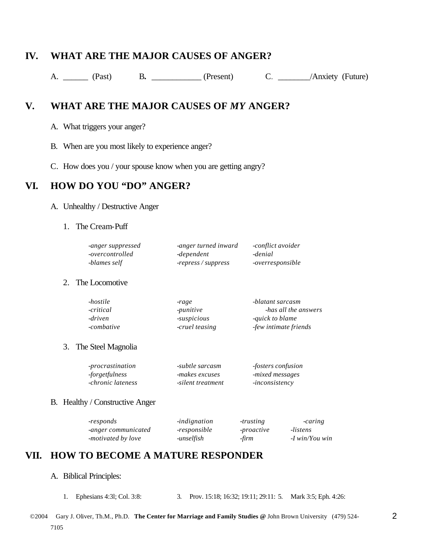# **IV. WHAT ARE THE MAJOR CAUSES OF ANGER?**

A. \_\_\_\_\_\_ (Past) B. \_\_\_\_\_\_\_\_\_ (Present) C. \_\_\_\_\_\_/Anxiety (Future)

# **V. WHAT ARE THE MAJOR CAUSES OF** *MY* **ANGER?**

- A. What triggers your anger?
- B. When are you most likely to experience anger?
- C. How does you / your spouse know when you are getting angry?

## **VI. HOW DO YOU "DO" ANGER?**

#### A. Unhealthy / Destructive Anger

#### 1. The Cream-Puff

| -anger suppressed | -anger turned inward | -conflict avoider       |
|-------------------|----------------------|-------------------------|
| -overcontrolled   | -dependent           | -denial                 |
| -blames self      | -repress / suppress  | <i>-overresponsible</i> |

#### 2. The Locomotive

| -hostile   | -rage             | -blatant sarcasm       |
|------------|-------------------|------------------------|
| -critical  | -punitive         | -has all the answers   |
| -driven    | <i>suspicious</i> | <i>equick to blame</i> |
| -combative | -cruel teasing    | -few intimate friends  |

3. The Steel Magnolia

| -procrastination  | -subtle sarcasm   | <i>fosters confusion</i> |
|-------------------|-------------------|--------------------------|
| -forgetfulness    | -makes excuses    | -mixed messages          |
| -chronic lateness | -silent treatment | <i>inconsistency</i>     |

#### B. Healthy / Constructive Anger

| -responds           | <i>indignation</i> | -trusting  | -caring          |
|---------------------|--------------------|------------|------------------|
| -anger communicated | -responsible       | -proactive | -listens         |
| -motivated by love  | -unselfish         | -firm      | $-I$ win/You win |

## **VII. HOW TO BECOME A MATURE RESPONDER**

#### A. Biblical Principles:

1. Ephesians 4:3l; Col. 3:8: 3. Prov. 15:18; 16:32; 19:11; 29:11: 5. Mark 3:5; Eph. 4:26: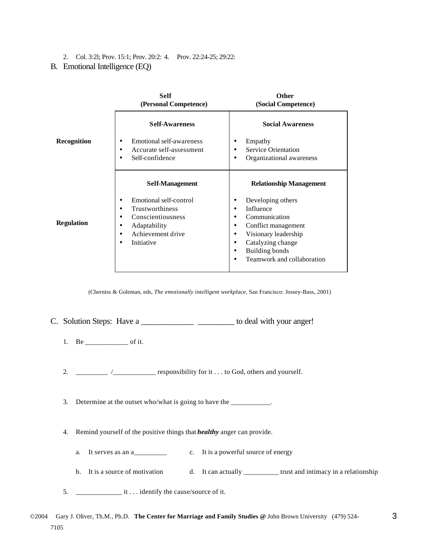2. Col. 3:2l; Prov. 15:1; Prov. 20:2: 4. Prov. 22:24-25; 29:22:

#### B. Emotional Intelligence (EQ)

|                    | <b>Self</b><br>(Personal Competence)                                                                                                                               | <b>Other</b><br>(Social Competence)                                                                                                                                                                                                                |
|--------------------|--------------------------------------------------------------------------------------------------------------------------------------------------------------------|----------------------------------------------------------------------------------------------------------------------------------------------------------------------------------------------------------------------------------------------------|
|                    | <b>Self-Awareness</b>                                                                                                                                              | <b>Social Awareness</b>                                                                                                                                                                                                                            |
| <b>Recognition</b> | Emotional self-awareness<br>٠<br>Accurate self-assessment<br>٠<br>Self-confidence<br>٠                                                                             | Empathy<br>٠<br><b>Service Orientation</b><br>٠<br>Organizational awareness<br>٠                                                                                                                                                                   |
|                    | <b>Self-Management</b>                                                                                                                                             | <b>Relationship Management</b>                                                                                                                                                                                                                     |
| <b>Regulation</b>  | Emotional self-control<br>Trustworthiness<br>$\bullet$<br>Conscientiousness<br>٠<br>Adaptability<br>٠<br>Achievement drive<br>$\bullet$<br>Initiative<br>$\bullet$ | Developing others<br>٠<br>Influence<br>$\bullet$<br>Communication<br>٠<br>Conflict management<br>٠<br>Visionary leadership<br>٠<br>Catalyzing change<br>$\bullet$<br><b>Building bonds</b><br>$\bullet$<br>Teamwork and collaboration<br>$\bullet$ |

(Cherniss & Goleman, eds, *The emotionally intelligent workplace*, San Francisco: Jossey-Bass, 2001)

C. Solution Steps: Have a \_\_\_\_\_\_\_\_\_\_\_\_\_\_\_\_\_\_\_\_\_\_\_\_\_ to deal with your anger!

- 1. Be \_\_\_\_\_\_\_\_\_\_\_\_\_\_\_\_ of it.
- 2.  $\frac{1}{2}$   $\frac{1}{2}$   $\frac{1}{2}$   $\frac{1}{2}$   $\frac{1}{2}$   $\frac{1}{2}$  responsibility for it . . . to God, others and yourself.

3. Determine at the outset who/what is going to have the \_\_\_\_\_\_\_\_\_\_.

- 4. Remind yourself of the positive things that *healthy* anger can provide.
	- a. It serves as an a\_\_\_\_\_\_\_\_ c. It is a powerful source of energy
	- b. It is a source of motivation d. It can actually \_\_\_\_\_\_\_\_\_\_\_ trust and intimacy in a relationship

5.  $\frac{1}{\sqrt{1-\frac{1}{\sqrt{1-\frac{1}{\sqrt{1-\frac{1}{\sqrt{1-\frac{1}{\sqrt{1-\frac{1}{\sqrt{1-\frac{1}{\sqrt{1-\frac{1}{\sqrt{1-\frac{1}{\sqrt{1-\frac{1}{\sqrt{1-\frac{1}{\sqrt{1-\frac{1}{\sqrt{1-\frac{1}{\sqrt{1-\frac{1}{\sqrt{1-\frac{1}{\sqrt{1-\frac{1}{\sqrt{1-\frac{1}{\sqrt{1-\frac{1}{\sqrt{1-\frac{1}{\sqrt{1-\frac{1}{\sqrt{1-\frac{1}{\sqrt{1-\frac{1}{\sqrt{1-\frac{1}{\sqrt{1-\frac{1}{\sqrt{1-\$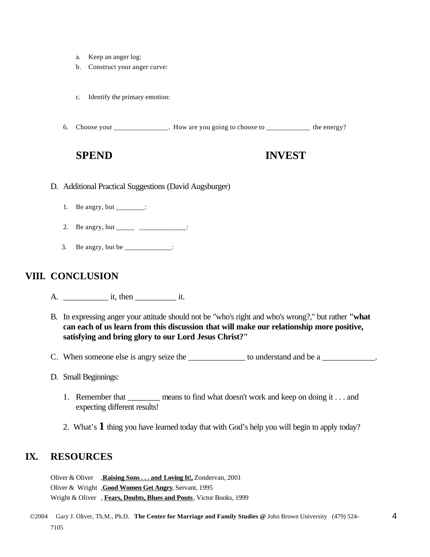- a. Keep an anger log:
- b. Construct your anger curve:
- c. Identify the primary emotion:
- 6. Choose your \_\_\_\_\_\_\_\_\_\_\_\_\_\_\_. How are you going to choose to \_\_\_\_\_\_\_\_\_\_\_\_ the energy?

# **SPEND INVEST**

- D. Additional Practical Suggestions (David Augsburger)
	- 1. Be angry, but \_\_\_\_\_\_\_\_:
	- 2. Be angry, but \_\_\_\_\_\_ \_\_\_\_\_\_\_\_\_\_\_\_\_\_:
	- 3. Be angry, but be \_\_\_\_\_\_\_\_\_\_\_\_\_:

# **VIII. CONCLUSION**

- A. \_\_\_\_\_\_\_\_\_\_\_ it, then \_\_\_\_\_\_\_\_\_\_ it.
- B. In expressing anger your attitude should not be "who's right and who's wrong?," but rather **"what can each of us learn from this discussion that will make our relationship more positive, satisfying and bring glory to our Lord Jesus Christ?"**
- C. When someone else is angry seize the \_\_\_\_\_\_\_\_\_\_\_\_\_\_\_ to understand and be a \_\_\_\_\_\_\_\_\_\_\_.
- D. Small Beginnings:
	- 1. Remember that <u>either means</u> to find what doesn't work and keep on doing it . . . and expecting different results!
	- 2. What's **1** thing you have learned today that with God's help you will begin to apply today?

# **IX. RESOURCES**

Oliver & Oliver ,**Raising Sons . . . and Loving It!,** Zondervan, 2001 Oliver & Wright ,**Good Women Get Angry**, Servant, 1995 Wright & Oliver , **Fears, Doubts, Blues and Pouts**, Victor Books, 1999

 ©2004 Gary J. Oliver, Th.M., Ph.D. **The Center for Marriage and Family Studies @** John Brown University (479) 524- 7105